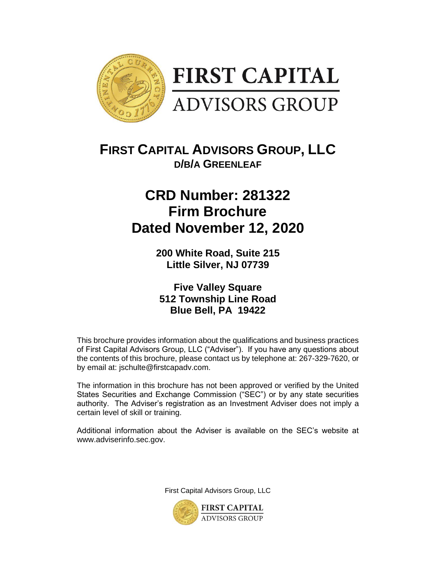

## **FIRST CAPITAL ADVISORS GROUP, LLC D/B/A GREENLEAF**

# **CRD Number: 281322 Firm Brochure Dated November 12, 2020**

**200 White Road, Suite 215 Little Silver, NJ 07739**

**Five Valley Square 512 Township Line Road Blue Bell, PA 19422**

This brochure provides information about the qualifications and business practices of First Capital Advisors Group, LLC ("Adviser"). If you have any questions about the contents of this brochure, please contact us by telephone at: 267-329-7620, or by email at: jschulte@firstcapadv.com.

The information in this brochure has not been approved or verified by the United States Securities and Exchange Commission ("SEC") or by any state securities authority. The Adviser's registration as an Investment Adviser does not imply a certain level of skill or training.

Additional information about the Adviser is available on the SEC's website at www.adviserinfo.sec.gov.

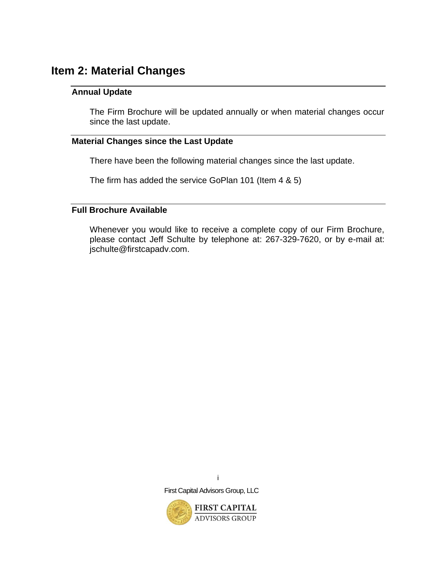### <span id="page-1-1"></span><span id="page-1-0"></span>**Item 2: Material Changes**

#### **Annual Update**

The Firm Brochure will be updated annually or when material changes occur since the last update.

#### <span id="page-1-2"></span>**Material Changes since the Last Update**

There have been the following material changes since the last update.

The firm has added the service GoPlan 101 (Item 4 & 5)

#### <span id="page-1-3"></span>**Full Brochure Available**

Whenever you would like to receive a complete copy of our Firm Brochure, please contact Jeff Schulte by telephone at: 267-329-7620, or by e-mail at: jschulte@firstcapadv.com.



i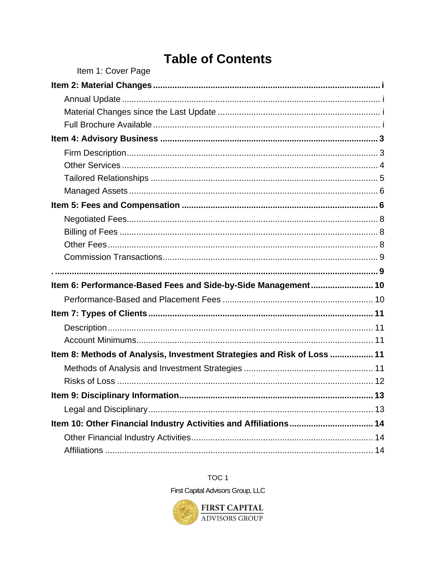# **Table of Contents**

| Item 1: Cover Page                                                      |  |
|-------------------------------------------------------------------------|--|
|                                                                         |  |
|                                                                         |  |
|                                                                         |  |
|                                                                         |  |
|                                                                         |  |
|                                                                         |  |
|                                                                         |  |
|                                                                         |  |
|                                                                         |  |
|                                                                         |  |
|                                                                         |  |
|                                                                         |  |
|                                                                         |  |
|                                                                         |  |
|                                                                         |  |
| Item 6: Performance-Based Fees and Side-by-Side Management 10           |  |
|                                                                         |  |
|                                                                         |  |
|                                                                         |  |
|                                                                         |  |
| Item 8: Methods of Analysis, Investment Strategies and Risk of Loss  11 |  |
|                                                                         |  |
|                                                                         |  |
|                                                                         |  |
|                                                                         |  |
|                                                                         |  |
| Item 10: Other Financial Industry Activities and Affiliations 14        |  |
|                                                                         |  |

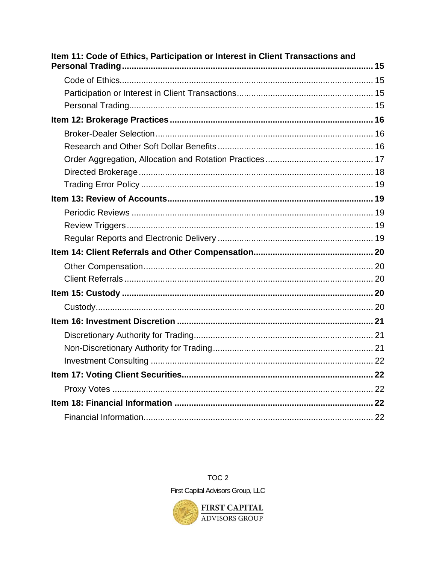| Item 11: Code of Ethics, Participation or Interest in Client Transactions and |  |
|-------------------------------------------------------------------------------|--|
|                                                                               |  |
|                                                                               |  |
|                                                                               |  |
|                                                                               |  |
|                                                                               |  |
|                                                                               |  |
|                                                                               |  |
|                                                                               |  |
|                                                                               |  |
|                                                                               |  |
|                                                                               |  |
|                                                                               |  |
|                                                                               |  |
|                                                                               |  |
|                                                                               |  |
|                                                                               |  |
|                                                                               |  |
|                                                                               |  |
|                                                                               |  |
|                                                                               |  |
|                                                                               |  |
|                                                                               |  |
|                                                                               |  |
|                                                                               |  |
|                                                                               |  |
|                                                                               |  |



TOC<sub>2</sub>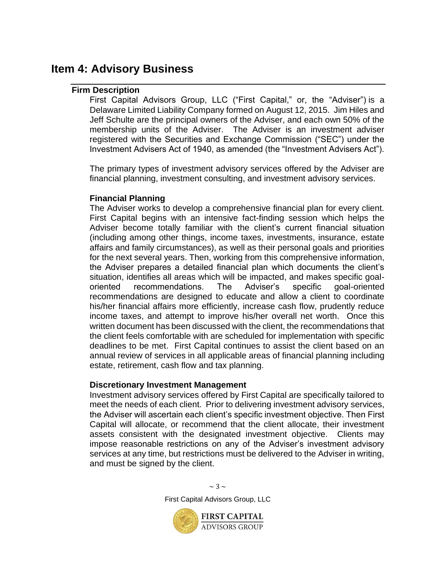### <span id="page-4-1"></span><span id="page-4-0"></span>**Item 4: Advisory Business**

#### **Firm Description**

First Capital Advisors Group, LLC ("First Capital," or, the "Adviser") is a Delaware Limited Liability Company formed on August 12, 2015. Jim Hiles and Jeff Schulte are the principal owners of the Adviser, and each own 50% of the membership units of the Adviser. The Adviser is an investment adviser registered with the Securities and Exchange Commission ("SEC") under the Investment Advisers Act of 1940, as amended (the "Investment Advisers Act").

The primary types of investment advisory services offered by the Adviser are financial planning, investment consulting, and investment advisory services.

#### **Financial Planning**

The Adviser works to develop a comprehensive financial plan for every client. First Capital begins with an intensive fact-finding session which helps the Adviser become totally familiar with the client's current financial situation (including among other things, income taxes, investments, insurance, estate affairs and family circumstances), as well as their personal goals and priorities for the next several years. Then, working from this comprehensive information, the Adviser prepares a detailed financial plan which documents the client's situation, identifies all areas which will be impacted, and makes specific goaloriented recommendations. The Adviser's specific goal-oriented recommendations are designed to educate and allow a client to coordinate his/her financial affairs more efficiently, increase cash flow, prudently reduce income taxes, and attempt to improve his/her overall net worth. Once this written document has been discussed with the client, the recommendations that the client feels comfortable with are scheduled for implementation with specific deadlines to be met. First Capital continues to assist the client based on an annual review of services in all applicable areas of financial planning including estate, retirement, cash flow and tax planning.

#### **Discretionary Investment Management**

Investment advisory services offered by First Capital are specifically tailored to meet the needs of each client. Prior to delivering investment advisory services, the Adviser will ascertain each client's specific investment objective. Then First Capital will allocate, or recommend that the client allocate, their investment assets consistent with the designated investment objective. Clients may impose reasonable restrictions on any of the Adviser's investment advisory services at any time, but restrictions must be delivered to the Adviser in writing, and must be signed by the client.

> $\sim$  3  $\sim$ First Capital Advisors Group, LLC

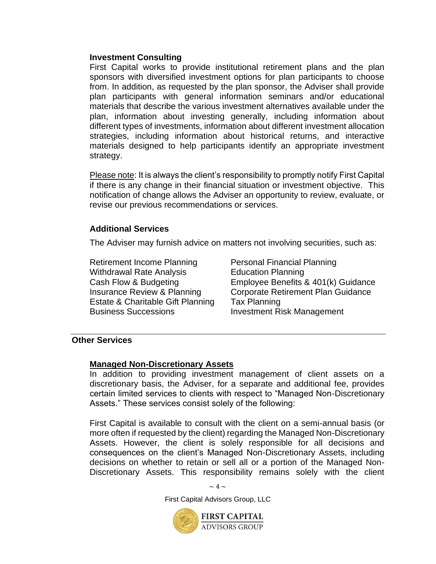#### **Investment Consulting**

First Capital works to provide institutional retirement plans and the plan sponsors with diversified investment options for plan participants to choose from. In addition, as requested by the plan sponsor, the Adviser shall provide plan participants with general information seminars and/or educational materials that describe the various investment alternatives available under the plan, information about investing generally, including information about different types of investments, information about different investment allocation strategies, including information about historical returns, and interactive materials designed to help participants identify an appropriate investment strategy.

Please note: It is always the client's responsibility to promptly notify First Capital if there is any change in their financial situation or investment objective. This notification of change allows the Adviser an opportunity to review, evaluate, or revise our previous recommendations or services.

#### **Additional Services**

The Adviser may furnish advice on matters not involving securities, such as:

Retirement Income Planning Personal Financial Planning Withdrawal Rate Analysis **Education Planning** Estate & Charitable Gift Planning Tax Planning Business Successions Investment Risk Management

Cash Flow & Budgeting Employee Benefits & 401(k) Guidance Insurance Review & Planning Corporate Retirement Plan Guidance

#### <span id="page-5-0"></span>**Other Services**

#### **Managed Non-Discretionary Assets**

In addition to providing investment management of client assets on a discretionary basis, the Adviser, for a separate and additional fee, provides certain limited services to clients with respect to "Managed Non-Discretionary Assets." These services consist solely of the following:

First Capital is available to consult with the client on a semi-annual basis (or more often if requested by the client) regarding the Managed Non-Discretionary Assets. However, the client is solely responsible for all decisions and consequences on the client's Managed Non-Discretionary Assets, including decisions on whether to retain or sell all or a portion of the Managed Non-Discretionary Assets. This responsibility remains solely with the client

 $\sim 4 \sim$ 

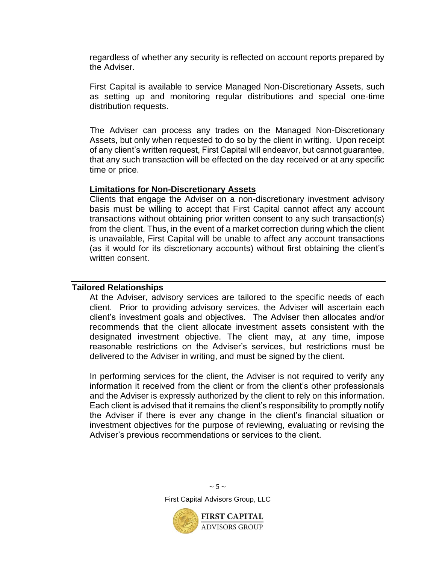regardless of whether any security is reflected on account reports prepared by the Adviser.

First Capital is available to service Managed Non-Discretionary Assets, such as setting up and monitoring regular distributions and special one-time distribution requests.

The Adviser can process any trades on the Managed Non-Discretionary Assets, but only when requested to do so by the client in writing. Upon receipt of any client's written request, First Capital will endeavor, but cannot guarantee, that any such transaction will be effected on the day received or at any specific time or price.

#### **Limitations for Non-Discretionary Assets**

Clients that engage the Adviser on a non-discretionary investment advisory basis must be willing to accept that First Capital cannot affect any account transactions without obtaining prior written consent to any such transaction(s) from the client. Thus, in the event of a market correction during which the client is unavailable, First Capital will be unable to affect any account transactions (as it would for its discretionary accounts) without first obtaining the client's written consent.

#### <span id="page-6-0"></span>**Tailored Relationships**

At the Adviser, advisory services are tailored to the specific needs of each client. Prior to providing advisory services, the Adviser will ascertain each client's investment goals and objectives. The Adviser then allocates and/or recommends that the client allocate investment assets consistent with the designated investment objective. The client may, at any time, impose reasonable restrictions on the Adviser's services, but restrictions must be delivered to the Adviser in writing, and must be signed by the client.

In performing services for the client, the Adviser is not required to verify any information it received from the client or from the client's other professionals and the Adviser is expressly authorized by the client to rely on this information. Each client is advised that it remains the client's responsibility to promptly notify the Adviser if there is ever any change in the client's financial situation or investment objectives for the purpose of reviewing, evaluating or revising the Adviser's previous recommendations or services to the client.

> $\sim$  5  $\sim$ First Capital Advisors Group, LLC

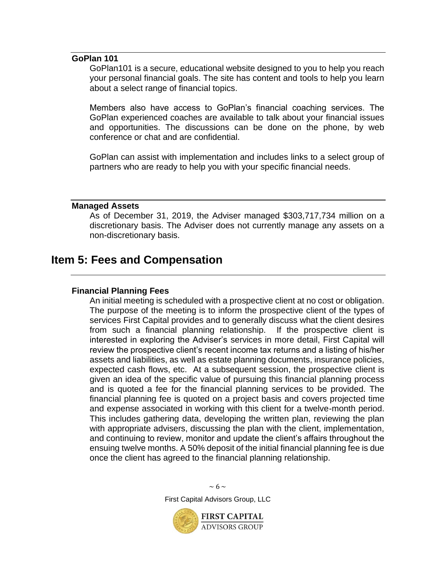#### **GoPlan 101**

GoPlan101 is a secure, educational website designed to you to help you reach your personal financial goals. The site has content and tools to help you learn about a select range of financial topics.

Members also have access to GoPlan's financial coaching services. The GoPlan experienced coaches are available to talk about your financial issues and opportunities. The discussions can be done on the phone, by web conference or chat and are confidential.

GoPlan can assist with implementation and includes links to a select group of partners who are ready to help you with your specific financial needs.

#### <span id="page-7-0"></span>**Managed Assets**

As of December 31, 2019, the Adviser managed \$303,717,734 million on a discretionary basis. The Adviser does not currently manage any assets on a non-discretionary basis.

### <span id="page-7-1"></span>**Item 5: Fees and Compensation**

#### **Financial Planning Fees**

An initial meeting is scheduled with a prospective client at no cost or obligation. The purpose of the meeting is to inform the prospective client of the types of services First Capital provides and to generally discuss what the client desires from such a financial planning relationship. If the prospective client is interested in exploring the Adviser's services in more detail, First Capital will review the prospective client's recent income tax returns and a listing of his/her assets and liabilities, as well as estate planning documents, insurance policies, expected cash flows, etc. At a subsequent session, the prospective client is given an idea of the specific value of pursuing this financial planning process and is quoted a fee for the financial planning services to be provided. The financial planning fee is quoted on a project basis and covers projected time and expense associated in working with this client for a twelve-month period. This includes gathering data, developing the written plan, reviewing the plan with appropriate advisers, discussing the plan with the client, implementation, and continuing to review, monitor and update the client's affairs throughout the ensuing twelve months. A 50% deposit of the initial financial planning fee is due once the client has agreed to the financial planning relationship.



 $\sim 6 \sim$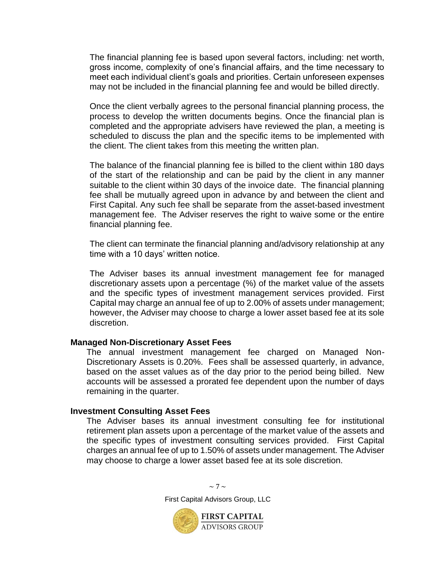The financial planning fee is based upon several factors, including: net worth, gross income, complexity of one's financial affairs, and the time necessary to meet each individual client's goals and priorities. Certain unforeseen expenses may not be included in the financial planning fee and would be billed directly.

Once the client verbally agrees to the personal financial planning process, the process to develop the written documents begins. Once the financial plan is completed and the appropriate advisers have reviewed the plan, a meeting is scheduled to discuss the plan and the specific items to be implemented with the client. The client takes from this meeting the written plan.

The balance of the financial planning fee is billed to the client within 180 days of the start of the relationship and can be paid by the client in any manner suitable to the client within 30 days of the invoice date. The financial planning fee shall be mutually agreed upon in advance by and between the client and First Capital. Any such fee shall be separate from the asset-based investment management fee. The Adviser reserves the right to waive some or the entire financial planning fee.

The client can terminate the financial planning and/advisory relationship at any time with a 10 days' written notice.

The Adviser bases its annual investment management fee for managed discretionary assets upon a percentage (%) of the market value of the assets and the specific types of investment management services provided. First Capital may charge an annual fee of up to 2.00% of assets under management; however, the Adviser may choose to charge a lower asset based fee at its sole discretion.

#### **Managed Non-Discretionary Asset Fees**

The annual investment management fee charged on Managed Non-Discretionary Assets is 0.20%. Fees shall be assessed quarterly, in advance, based on the asset values as of the day prior to the period being billed. New accounts will be assessed a prorated fee dependent upon the number of days remaining in the quarter.

#### **Investment Consulting Asset Fees**

The Adviser bases its annual investment consulting fee for institutional retirement plan assets upon a percentage of the market value of the assets and the specific types of investment consulting services provided. First Capital charges an annual fee of up to 1.50% of assets under management. The Adviser may choose to charge a lower asset based fee at its sole discretion.

> $\sim$  7  $\sim$ First Capital Advisors Group, LLC

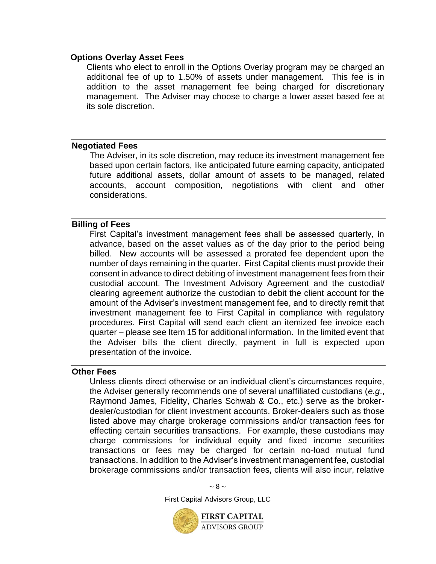#### **Options Overlay Asset Fees**

Clients who elect to enroll in the Options Overlay program may be charged an additional fee of up to 1.50% of assets under management. This fee is in addition to the asset management fee being charged for discretionary management. The Adviser may choose to charge a lower asset based fee at its sole discretion.

#### <span id="page-9-0"></span>**Negotiated Fees**

The Adviser, in its sole discretion, may reduce its investment management fee based upon certain factors, like anticipated future earning capacity, anticipated future additional assets, dollar amount of assets to be managed, related accounts, account composition, negotiations with client and other considerations.

#### <span id="page-9-1"></span>**Billing of Fees**

First Capital's investment management fees shall be assessed quarterly, in advance, based on the asset values as of the day prior to the period being billed. New accounts will be assessed a prorated fee dependent upon the number of days remaining in the quarter. First Capital clients must provide their consent in advance to direct debiting of investment management fees from their custodial account. The Investment Advisory Agreement and the custodial/ clearing agreement authorize the custodian to debit the client account for the amount of the Adviser's investment management fee, and to directly remit that investment management fee to First Capital in compliance with regulatory procedures. First Capital will send each client an itemized fee invoice each quarter – please see Item 15 for additional information. In the limited event that the Adviser bills the client directly, payment in full is expected upon presentation of the invoice.

#### <span id="page-9-2"></span>**Other Fees**

Unless clients direct otherwise or an individual client's circumstances require, the Adviser generally recommends one of several unaffiliated custodians (*e.g*., Raymond James, Fidelity, Charles Schwab & Co., etc.) serve as the brokerdealer/custodian for client investment accounts. Broker-dealers such as those listed above may charge brokerage commissions and/or transaction fees for effecting certain securities transactions. For example, these custodians may charge commissions for individual equity and fixed income securities transactions or fees may be charged for certain no-load mutual fund transactions. In addition to the Adviser's investment management fee, custodial brokerage commissions and/or transaction fees, clients will also incur, relative

 $\sim$  8  $\sim$ 

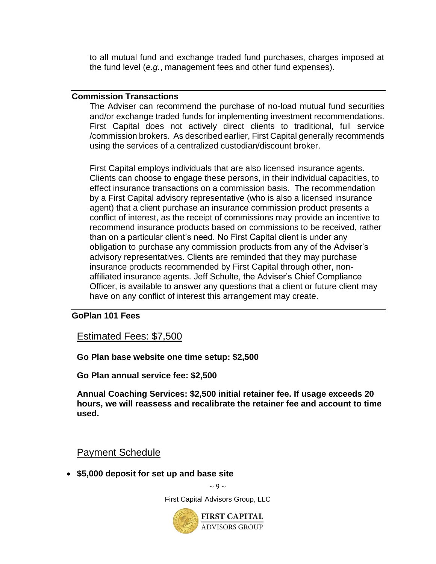to all mutual fund and exchange traded fund purchases, charges imposed at the fund level (*e.g.*, management fees and other fund expenses).

#### <span id="page-10-0"></span>**Commission Transactions**

The Adviser can recommend the purchase of no-load mutual fund securities and/or exchange traded funds for implementing investment recommendations. First Capital does not actively direct clients to traditional, full service /commission brokers. As described earlier, First Capital generally recommends using the services of a centralized custodian/discount broker.

<span id="page-10-1"></span>First Capital employs individuals that are also licensed insurance agents. Clients can choose to engage these persons, in their individual capacities, to effect insurance transactions on a commission basis. The recommendation by a First Capital advisory representative (who is also a licensed insurance agent) that a client purchase an insurance commission product presents a conflict of interest, as the receipt of commissions may provide an incentive to recommend insurance products based on commissions to be received, rather than on a particular client's need. No First Capital client is under any obligation to purchase any commission products from any of the Adviser's advisory representatives. Clients are reminded that they may purchase insurance products recommended by First Capital through other, nonaffiliated insurance agents. Jeff Schulte, the Adviser's Chief Compliance Officer, is available to answer any questions that a client or future client may have on any conflict of interest this arrangement may create.

#### **GoPlan 101 Fees**

Estimated Fees: \$7,500

**Go Plan base website one time setup: \$2,500**

**Go Plan annual service fee: \$2,500**

**Annual Coaching Services: \$2,500 initial retainer fee. If usage exceeds 20 hours, we will reassess and recalibrate the retainer fee and account to time used.** 

Payment Schedule

• **\$5,000 deposit for set up and base site**

 $\sim$  9  $\sim$ 

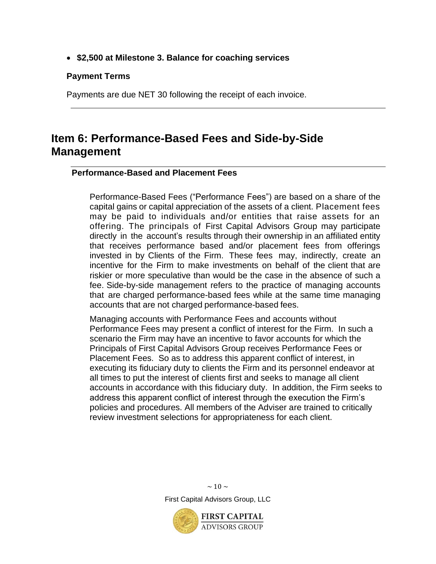• **\$2,500 at Milestone 3. Balance for coaching services**

#### **Payment Terms**

Payments are due NET 30 following the receipt of each invoice.

## <span id="page-11-0"></span>**Item 6: Performance-Based Fees and Side-by-Side Management**

#### <span id="page-11-1"></span>**Performance-Based and Placement Fees**

Performance-Based Fees ("Performance Fees") are based on a share of the capital gains or capital appreciation of the assets of a client. Placement fees may be paid to individuals and/or entities that raise assets for an offering. The principals of First Capital Advisors Group may participate directly in the account's results through their ownership in an affiliated entity that receives performance based and/or placement fees from offerings invested in by Clients of the Firm. These fees may, indirectly, create an incentive for the Firm to make investments on behalf of the client that are riskier or more speculative than would be the case in the absence of such a fee. Side-by-side management refers to the practice of managing accounts that are charged performance-based fees while at the same time managing accounts that are not charged performance-based fees.

Managing accounts with Performance Fees and accounts without Performance Fees may present a conflict of interest for the Firm. In such a scenario the Firm may have an incentive to favor accounts for which the Principals of First Capital Advisors Group receives Performance Fees or Placement Fees. So as to address this apparent conflict of interest, in executing its fiduciary duty to clients the Firm and its personnel endeavor at all times to put the interest of clients first and seeks to manage all client accounts in accordance with this fiduciary duty. In addition, the Firm seeks to address this apparent conflict of interest through the execution the Firm's policies and procedures. All members of the Adviser are trained to critically review investment selections for appropriateness for each client.



**ADVISORS GROUP**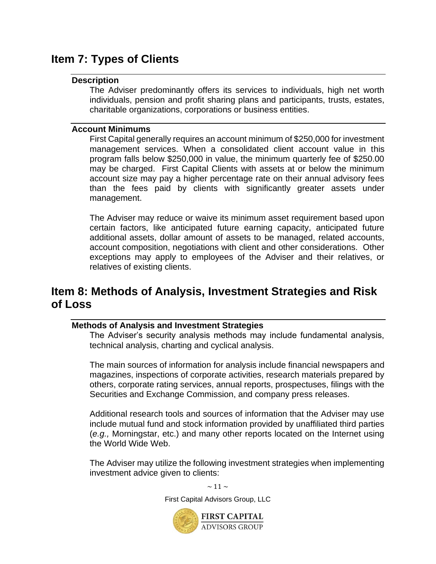## <span id="page-12-1"></span><span id="page-12-0"></span>**Item 7: Types of Clients**

#### **Description**

The Adviser predominantly offers its services to individuals, high net worth individuals, pension and profit sharing plans and participants, trusts, estates, charitable organizations, corporations or business entities.

#### <span id="page-12-2"></span>**Account Minimums**

First Capital generally requires an account minimum of \$250,000 for investment management services. When a consolidated client account value in this program falls below \$250,000 in value, the minimum quarterly fee of \$250.00 may be charged. First Capital Clients with assets at or below the minimum account size may pay a higher percentage rate on their annual advisory fees than the fees paid by clients with significantly greater assets under management.

The Adviser may reduce or waive its minimum asset requirement based upon certain factors, like anticipated future earning capacity, anticipated future additional assets, dollar amount of assets to be managed, related accounts, account composition, negotiations with client and other considerations. Other exceptions may apply to employees of the Adviser and their relatives, or relatives of existing clients.

### <span id="page-12-3"></span>**Item 8: Methods of Analysis, Investment Strategies and Risk of Loss**

#### <span id="page-12-4"></span>**Methods of Analysis and Investment Strategies**

The Adviser's security analysis methods may include fundamental analysis, technical analysis, charting and cyclical analysis.

The main sources of information for analysis include financial newspapers and magazines, inspections of corporate activities, research materials prepared by others, corporate rating services, annual reports, prospectuses, filings with the Securities and Exchange Commission, and company press releases.

Additional research tools and sources of information that the Adviser may use include mutual fund and stock information provided by unaffiliated third parties (*e.g.,* Morningstar, etc.) and many other reports located on the Internet using the World Wide Web.

The Adviser may utilize the following investment strategies when implementing investment advice given to clients:

 $\sim$  11  $\sim$ 

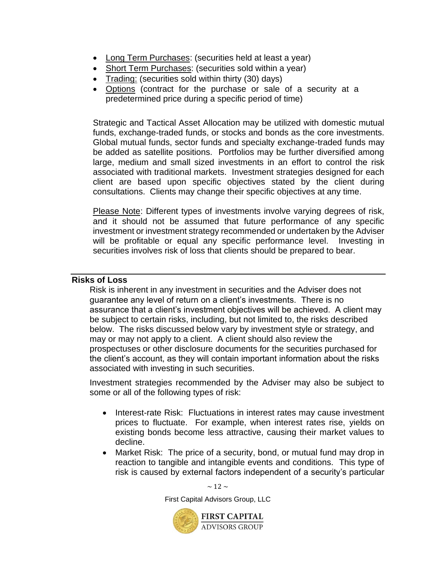- Long Term Purchases: (securities held at least a year)
- Short Term Purchases: (securities sold within a year)
- Trading: (securities sold within thirty (30) days)
- Options (contract for the purchase or sale of a security at a predetermined price during a specific period of time)

Strategic and Tactical Asset Allocation may be utilized with domestic mutual funds, exchange-traded funds, or stocks and bonds as the core investments. Global mutual funds, sector funds and specialty exchange-traded funds may be added as satellite positions. Portfolios may be further diversified among large, medium and small sized investments in an effort to control the risk associated with traditional markets. Investment strategies designed for each client are based upon specific objectives stated by the client during consultations. Clients may change their specific objectives at any time.

Please Note: Different types of investments involve varying degrees of risk, and it should not be assumed that future performance of any specific investment or investment strategy recommended or undertaken by the Adviser will be profitable or equal any specific performance level. Investing in securities involves risk of loss that clients should be prepared to bear.

#### <span id="page-13-0"></span>**Risks of Loss**

Risk is inherent in any investment in securities and the Adviser does not guarantee any level of return on a client's investments. There is no assurance that a client's investment objectives will be achieved. A client may be subject to certain risks, including, but not limited to, the risks described below. The risks discussed below vary by investment style or strategy, and may or may not apply to a client. A client should also review the prospectuses or other disclosure documents for the securities purchased for the client's account, as they will contain important information about the risks associated with investing in such securities.

Investment strategies recommended by the Adviser may also be subject to some or all of the following types of risk:

- Interest-rate Risk: Fluctuations in interest rates may cause investment prices to fluctuate. For example, when interest rates rise, yields on existing bonds become less attractive, causing their market values to decline.
- Market Risk: The price of a security, bond, or mutual fund may drop in reaction to tangible and intangible events and conditions. This type of risk is caused by external factors independent of a security's particular

 $\sim$  12  $\sim$ First Capital Advisors Group, LLC **FIRST CAPITAL ADVISORS GROUP**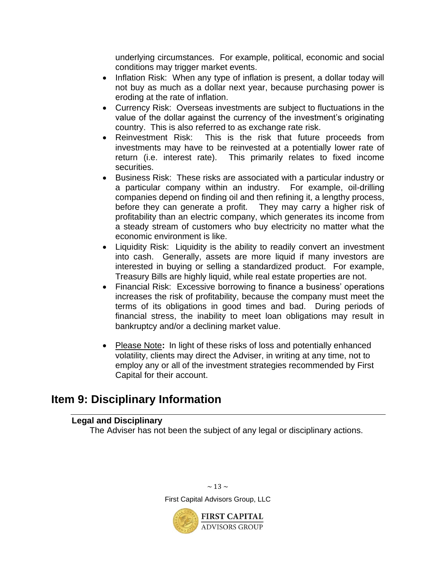underlying circumstances. For example, political, economic and social conditions may trigger market events.

- Inflation Risk: When any type of inflation is present, a dollar today will not buy as much as a dollar next year, because purchasing power is eroding at the rate of inflation.
- Currency Risk: Overseas investments are subject to fluctuations in the value of the dollar against the currency of the investment's originating country. This is also referred to as exchange rate risk.
- Reinvestment Risk: This is the risk that future proceeds from investments may have to be reinvested at a potentially lower rate of return (i.e. interest rate). This primarily relates to fixed income securities.
- Business Risk: These risks are associated with a particular industry or a particular company within an industry. For example, oil-drilling companies depend on finding oil and then refining it, a lengthy process, before they can generate a profit. They may carry a higher risk of profitability than an electric company, which generates its income from a steady stream of customers who buy electricity no matter what the economic environment is like.
- Liquidity Risk: Liquidity is the ability to readily convert an investment into cash. Generally, assets are more liquid if many investors are interested in buying or selling a standardized product. For example, Treasury Bills are highly liquid, while real estate properties are not.
- Financial Risk: Excessive borrowing to finance a business' operations increases the risk of profitability, because the company must meet the terms of its obligations in good times and bad. During periods of financial stress, the inability to meet loan obligations may result in bankruptcy and/or a declining market value.
- Please Note**:** In light of these risks of loss and potentially enhanced volatility, clients may direct the Adviser, in writing at any time, not to employ any or all of the investment strategies recommended by First Capital for their account.

## <span id="page-14-1"></span><span id="page-14-0"></span>**Item 9: Disciplinary Information**

#### **Legal and Disciplinary**

The Adviser has not been the subject of any legal or disciplinary actions.



 $\sim$  13  $\sim$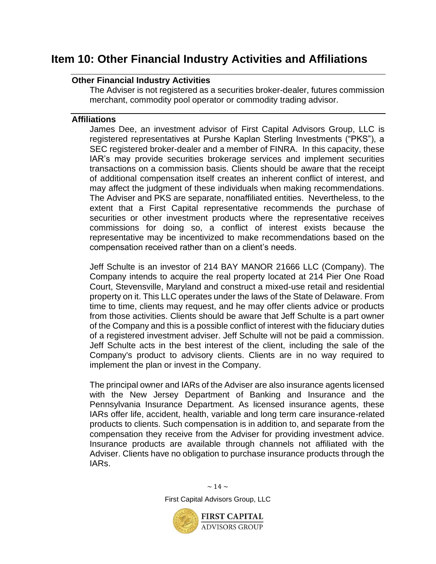## <span id="page-15-1"></span><span id="page-15-0"></span>**Item 10: Other Financial Industry Activities and Affiliations**

#### **Other Financial Industry Activities**

The Adviser is not registered as a securities broker-dealer, futures commission merchant, commodity pool operator or commodity trading advisor.

#### <span id="page-15-2"></span>**Affiliations**

James Dee, an investment advisor of First Capital Advisors Group, LLC is registered representatives at Purshe Kaplan Sterling Investments ("PKS"), a SEC registered broker-dealer and a member of FINRA. In this capacity, these IAR's may provide securities brokerage services and implement securities transactions on a commission basis. Clients should be aware that the receipt of additional compensation itself creates an inherent conflict of interest, and may affect the judgment of these individuals when making recommendations. The Adviser and PKS are separate, nonaffiliated entities. Nevertheless, to the extent that a First Capital representative recommends the purchase of securities or other investment products where the representative receives commissions for doing so, a conflict of interest exists because the representative may be incentivized to make recommendations based on the compensation received rather than on a client's needs.

Jeff Schulte is an investor of 214 BAY MANOR 21666 LLC (Company). The Company intends to acquire the real property located at 214 Pier One Road Court, Stevensville, Maryland and construct a mixed-use retail and residential property on it. This LLC operates under the laws of the State of Delaware. From time to time, clients may request, and he may offer clients advice or products from those activities. Clients should be aware that Jeff Schulte is a part owner of the Company and this is a possible conflict of interest with the fiduciary duties of a registered investment adviser. Jeff Schulte will not be paid a commission. Jeff Schulte acts in the best interest of the client, including the sale of the Company's product to advisory clients. Clients are in no way required to implement the plan or invest in the Company.

The principal owner and IARs of the Adviser are also insurance agents licensed with the New Jersey Department of Banking and Insurance and the Pennsylvania Insurance Department. As licensed insurance agents, these IARs offer life, accident, health, variable and long term care insurance-related products to clients. Such compensation is in addition to, and separate from the compensation they receive from the Adviser for providing investment advice. Insurance products are available through channels not affiliated with the Adviser. Clients have no obligation to purchase insurance products through the IARs.

> $\sim$  14  $\sim$ First Capital Advisors Group, LLC

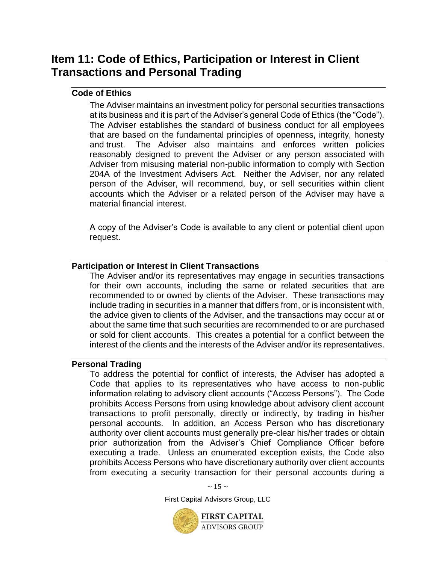## <span id="page-16-0"></span>**Item 11: Code of Ethics, Participation or Interest in Client Transactions and Personal Trading**

#### <span id="page-16-1"></span>**Code of Ethics**

The Adviser maintains an investment policy for personal securities transactions at its business and it is part of the Adviser's general Code of Ethics (the "Code"). The Adviser establishes the standard of business conduct for all employees that are based on the fundamental principles of openness, integrity, honesty and trust. The Adviser also maintains and enforces written policies reasonably designed to prevent the Adviser or any person associated with Adviser from misusing material non-public information to comply with Section 204A of the Investment Advisers Act. Neither the Adviser, nor any related person of the Adviser, will recommend, buy, or sell securities within client accounts which the Adviser or a related person of the Adviser may have a material financial interest.

A copy of the Adviser's Code is available to any client or potential client upon request.

#### <span id="page-16-2"></span>**Participation or Interest in Client Transactions**

The Adviser and/or its representatives may engage in securities transactions for their own accounts, including the same or related securities that are recommended to or owned by clients of the Adviser. These transactions may include trading in securities in a manner that differs from, or is inconsistent with, the advice given to clients of the Adviser, and the transactions may occur at or about the same time that such securities are recommended to or are purchased or sold for client accounts. This creates a potential for a conflict between the interest of the clients and the interests of the Adviser and/or its representatives.

#### <span id="page-16-3"></span>**Personal Trading**

To address the potential for conflict of interests, the Adviser has adopted a Code that applies to its representatives who have access to non-public information relating to advisory client accounts ("Access Persons"). The Code prohibits Access Persons from using knowledge about advisory client account transactions to profit personally, directly or indirectly, by trading in his/her personal accounts. In addition, an Access Person who has discretionary authority over client accounts must generally pre-clear his/her trades or obtain prior authorization from the Adviser's Chief Compliance Officer before executing a trade. Unless an enumerated exception exists, the Code also prohibits Access Persons who have discretionary authority over client accounts from executing a security transaction for their personal accounts during a

 $\sim$  15  $\sim$ 

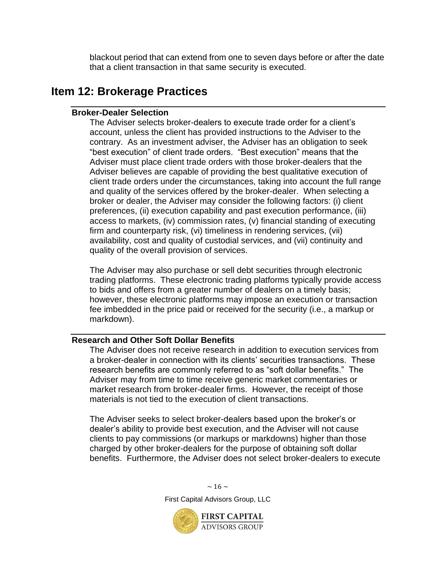blackout period that can extend from one to seven days before or after the date that a client transaction in that same security is executed.

### <span id="page-17-1"></span><span id="page-17-0"></span>**Item 12: Brokerage Practices**

#### **Broker-Dealer Selection**

The Adviser selects broker-dealers to execute trade order for a client's account, unless the client has provided instructions to the Adviser to the contrary. As an investment adviser, the Adviser has an obligation to seek "best execution" of client trade orders. "Best execution" means that the Adviser must place client trade orders with those broker-dealers that the Adviser believes are capable of providing the best qualitative execution of client trade orders under the circumstances, taking into account the full range and quality of the services offered by the broker-dealer. When selecting a broker or dealer, the Adviser may consider the following factors: (i) client preferences, (ii) execution capability and past execution performance, (iii) access to markets, (iv) commission rates, (v) financial standing of executing firm and counterparty risk, (vi) timeliness in rendering services, (vii) availability, cost and quality of custodial services, and (vii) continuity and quality of the overall provision of services.

The Adviser may also purchase or sell debt securities through electronic trading platforms. These electronic trading platforms typically provide access to bids and offers from a greater number of dealers on a timely basis; however, these electronic platforms may impose an execution or transaction fee imbedded in the price paid or received for the security (i.e., a markup or markdown).

#### <span id="page-17-2"></span>**Research and Other Soft Dollar Benefits**

The Adviser does not receive research in addition to execution services from a broker-dealer in connection with its clients' securities transactions. These research benefits are commonly referred to as "soft dollar benefits." The Adviser may from time to time receive generic market commentaries or market research from broker-dealer firms. However, the receipt of those materials is not tied to the execution of client transactions.

The Adviser seeks to select broker-dealers based upon the broker's or dealer's ability to provide best execution, and the Adviser will not cause clients to pay commissions (or markups or markdowns) higher than those charged by other broker-dealers for the purpose of obtaining soft dollar benefits. Furthermore, the Adviser does not select broker-dealers to execute



 $\sim$  16  $\sim$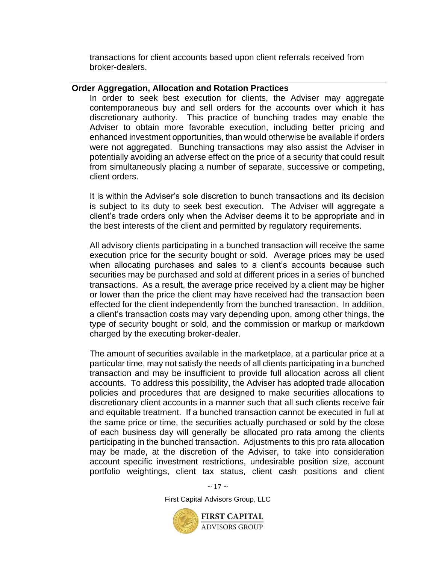transactions for client accounts based upon client referrals received from broker-dealers.

#### <span id="page-18-0"></span>**Order Aggregation, Allocation and Rotation Practices**

In order to seek best execution for clients, the Adviser may aggregate contemporaneous buy and sell orders for the accounts over which it has discretionary authority. This practice of bunching trades may enable the Adviser to obtain more favorable execution, including better pricing and enhanced investment opportunities, than would otherwise be available if orders were not aggregated. Bunching transactions may also assist the Adviser in potentially avoiding an adverse effect on the price of a security that could result from simultaneously placing a number of separate, successive or competing, client orders.

It is within the Adviser's sole discretion to bunch transactions and its decision is subject to its duty to seek best execution. The Adviser will aggregate a client's trade orders only when the Adviser deems it to be appropriate and in the best interests of the client and permitted by regulatory requirements.

All advisory clients participating in a bunched transaction will receive the same execution price for the security bought or sold. Average prices may be used when allocating purchases and sales to a client's accounts because such securities may be purchased and sold at different prices in a series of bunched transactions. As a result, the average price received by a client may be higher or lower than the price the client may have received had the transaction been effected for the client independently from the bunched transaction. In addition, a client's transaction costs may vary depending upon, among other things, the type of security bought or sold, and the commission or markup or markdown charged by the executing broker-dealer.

The amount of securities available in the marketplace, at a particular price at a particular time, may not satisfy the needs of all clients participating in a bunched transaction and may be insufficient to provide full allocation across all client accounts. To address this possibility, the Adviser has adopted trade allocation policies and procedures that are designed to make securities allocations to discretionary client accounts in a manner such that all such clients receive fair and equitable treatment. If a bunched transaction cannot be executed in full at the same price or time, the securities actually purchased or sold by the close of each business day will generally be allocated pro rata among the clients participating in the bunched transaction. Adjustments to this pro rata allocation may be made, at the discretion of the Adviser, to take into consideration account specific investment restrictions, undesirable position size, account portfolio weightings, client tax status, client cash positions and client

 $\sim$  17  $\sim$ 

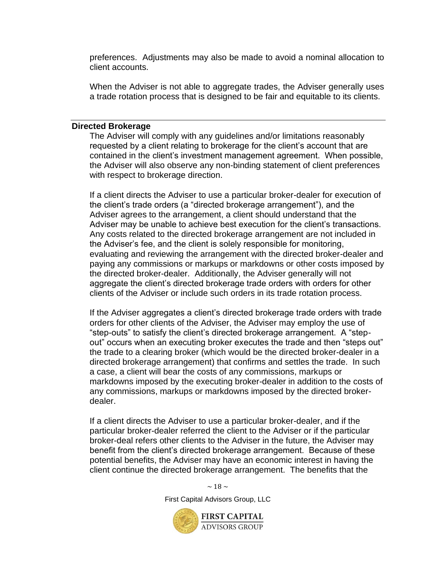preferences. Adjustments may also be made to avoid a nominal allocation to client accounts.

When the Adviser is not able to aggregate trades, the Adviser generally uses a trade rotation process that is designed to be fair and equitable to its clients.

#### <span id="page-19-0"></span>**Directed Brokerage**

The Adviser will comply with any guidelines and/or limitations reasonably requested by a client relating to brokerage for the client's account that are contained in the client's investment management agreement. When possible, the Adviser will also observe any non-binding statement of client preferences with respect to brokerage direction.

If a client directs the Adviser to use a particular broker-dealer for execution of the client's trade orders (a "directed brokerage arrangement"), and the Adviser agrees to the arrangement, a client should understand that the Adviser may be unable to achieve best execution for the client's transactions. Any costs related to the directed brokerage arrangement are not included in the Adviser's fee, and the client is solely responsible for monitoring, evaluating and reviewing the arrangement with the directed broker-dealer and paying any commissions or markups or markdowns or other costs imposed by the directed broker-dealer. Additionally, the Adviser generally will not aggregate the client's directed brokerage trade orders with orders for other clients of the Adviser or include such orders in its trade rotation process.

If the Adviser aggregates a client's directed brokerage trade orders with trade orders for other clients of the Adviser, the Adviser may employ the use of "step-outs" to satisfy the client's directed brokerage arrangement. A "stepout" occurs when an executing broker executes the trade and then "steps out" the trade to a clearing broker (which would be the directed broker-dealer in a directed brokerage arrangement) that confirms and settles the trade. In such a case, a client will bear the costs of any commissions, markups or markdowns imposed by the executing broker-dealer in addition to the costs of any commissions, markups or markdowns imposed by the directed brokerdealer.

If a client directs the Adviser to use a particular broker-dealer, and if the particular broker-dealer referred the client to the Adviser or if the particular broker-deal refers other clients to the Adviser in the future, the Adviser may benefit from the client's directed brokerage arrangement. Because of these potential benefits, the Adviser may have an economic interest in having the client continue the directed brokerage arrangement. The benefits that the

 $\sim$  18  $\sim$ 

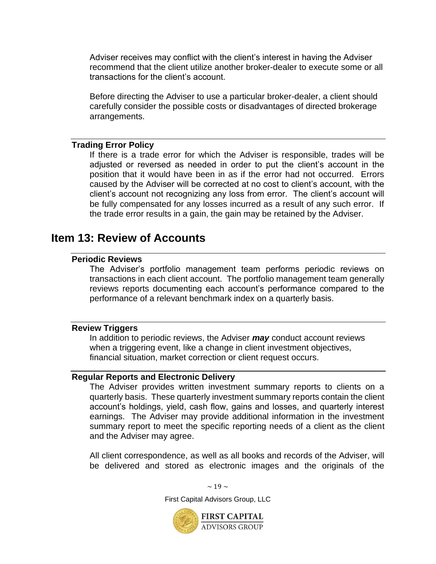Adviser receives may conflict with the client's interest in having the Adviser recommend that the client utilize another broker-dealer to execute some or all transactions for the client's account.

Before directing the Adviser to use a particular broker-dealer, a client should carefully consider the possible costs or disadvantages of directed brokerage arrangements.

#### <span id="page-20-0"></span>**Trading Error Policy**

If there is a trade error for which the Adviser is responsible, trades will be adjusted or reversed as needed in order to put the client's account in the position that it would have been in as if the error had not occurred. Errors caused by the Adviser will be corrected at no cost to client's account, with the client's account not recognizing any loss from error. The client's account will be fully compensated for any losses incurred as a result of any such error. If the trade error results in a gain, the gain may be retained by the Adviser.

### <span id="page-20-2"></span><span id="page-20-1"></span>**Item 13: Review of Accounts**

#### **Periodic Reviews**

The Adviser's portfolio management team performs periodic reviews on transactions in each client account. The portfolio management team generally reviews reports documenting each account's performance compared to the performance of a relevant benchmark index on a quarterly basis.

#### <span id="page-20-3"></span>**Review Triggers**

In addition to periodic reviews, the Adviser *may* conduct account reviews when a triggering event, like a change in client investment objectives, financial situation, market correction or client request occurs.

#### <span id="page-20-4"></span>**Regular Reports and Electronic Delivery**

The Adviser provides written investment summary reports to clients on a quarterly basis. These quarterly investment summary reports contain the client account's holdings, yield, cash flow, gains and losses, and quarterly interest earnings. The Adviser may provide additional information in the investment summary report to meet the specific reporting needs of a client as the client and the Adviser may agree.

All client correspondence, as well as all books and records of the Adviser, will be delivered and stored as electronic images and the originals of the

> First Capital Advisors Group, LLC **FIRST CAPITAL**

 $\sim$  19  $\sim$ 

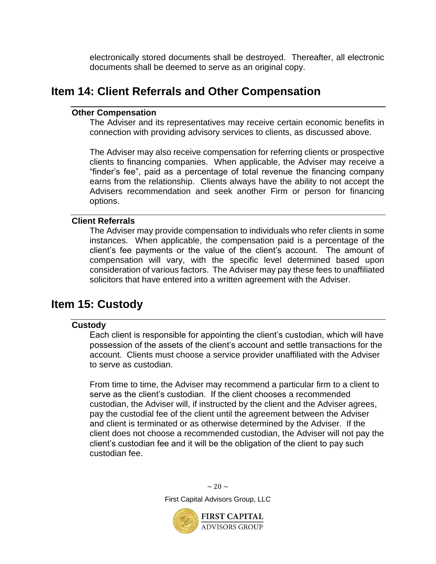electronically stored documents shall be destroyed. Thereafter, all electronic documents shall be deemed to serve as an original copy.

### <span id="page-21-1"></span><span id="page-21-0"></span>**Item 14: Client Referrals and Other Compensation**

#### **Other Compensation**

The Adviser and its representatives may receive certain economic benefits in connection with providing advisory services to clients, as discussed above.

The Adviser may also receive compensation for referring clients or prospective clients to financing companies. When applicable, the Adviser may receive a "finder's fee", paid as a percentage of total revenue the financing company earns from the relationship. Clients always have the ability to not accept the Advisers recommendation and seek another Firm or person for financing options.

#### <span id="page-21-2"></span>**Client Referrals**

The Adviser may provide compensation to individuals who refer clients in some instances. When applicable, the compensation paid is a percentage of the client's fee payments or the value of the client's account. The amount of compensation will vary, with the specific level determined based upon consideration of various factors. The Adviser may pay these fees to unaffiliated solicitors that have entered into a written agreement with the Adviser.

### <span id="page-21-4"></span><span id="page-21-3"></span>**Item 15: Custody**

#### **Custody**

Each client is responsible for appointing the client's custodian, which will have possession of the assets of the client's account and settle transactions for the account. Clients must choose a service provider unaffiliated with the Adviser to serve as custodian.

From time to time, the Adviser may recommend a particular firm to a client to serve as the client's custodian. If the client chooses a recommended custodian, the Adviser will, if instructed by the client and the Adviser agrees, pay the custodial fee of the client until the agreement between the Adviser and client is terminated or as otherwise determined by the Adviser. If the client does not choose a recommended custodian, the Adviser will not pay the client's custodian fee and it will be the obligation of the client to pay such custodian fee.

> $\sim$  20  $\sim$ First Capital Advisors Group, LLC

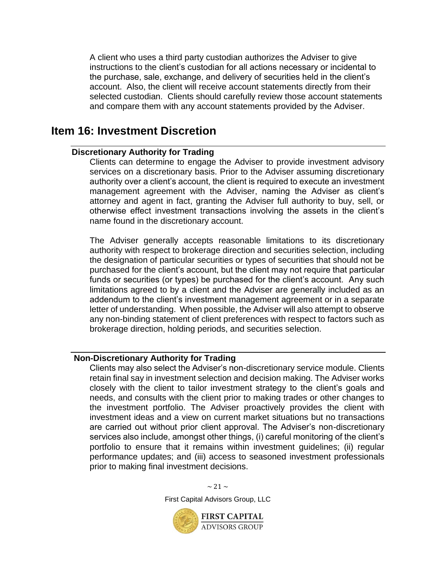A client who uses a third party custodian authorizes the Adviser to give instructions to the client's custodian for all actions necessary or incidental to the purchase, sale, exchange, and delivery of securities held in the client's account. Also, the client will receive account statements directly from their selected custodian. Clients should carefully review those account statements and compare them with any account statements provided by the Adviser.

### <span id="page-22-1"></span><span id="page-22-0"></span>**Item 16: Investment Discretion**

#### **Discretionary Authority for Trading**

Clients can determine to engage the Adviser to provide investment advisory services on a discretionary basis. Prior to the Adviser assuming discretionary authority over a client's account, the client is required to execute an investment management agreement with the Adviser, naming the Adviser as client's attorney and agent in fact, granting the Adviser full authority to buy, sell, or otherwise effect investment transactions involving the assets in the client's name found in the discretionary account.

The Adviser generally accepts reasonable limitations to its discretionary authority with respect to brokerage direction and securities selection, including the designation of particular securities or types of securities that should not be purchased for the client's account, but the client may not require that particular funds or securities (or types) be purchased for the client's account. Any such limitations agreed to by a client and the Adviser are generally included as an addendum to the client's investment management agreement or in a separate letter of understanding. When possible, the Adviser will also attempt to observe any non-binding statement of client preferences with respect to factors such as brokerage direction, holding periods, and securities selection.

#### <span id="page-22-2"></span>**Non-Discretionary Authority for Trading**

Clients may also select the Adviser's non-discretionary service module. Clients retain final say in investment selection and decision making. The Adviser works closely with the client to tailor investment strategy to the client's goals and needs, and consults with the client prior to making trades or other changes to the investment portfolio. The Adviser proactively provides the client with investment ideas and a view on current market situations but no transactions are carried out without prior client approval. The Adviser's non-discretionary services also include, amongst other things, (i) careful monitoring of the client's portfolio to ensure that it remains within investment guidelines; (ii) regular performance updates; and (iii) access to seasoned investment professionals prior to making final investment decisions.



 $\sim$  21  $\sim$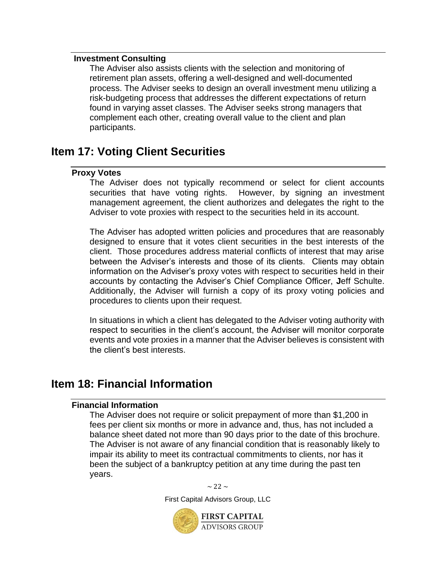#### <span id="page-23-0"></span>**Investment Consulting**

The Adviser also assists clients with the selection and monitoring of retirement plan assets, offering a well-designed and well-documented process. The Adviser seeks to design an overall investment menu utilizing a risk-budgeting process that addresses the different expectations of return found in varying asset classes. The Adviser seeks strong managers that complement each other, creating overall value to the client and plan participants.

## <span id="page-23-2"></span><span id="page-23-1"></span>**Item 17: Voting Client Securities**

#### **Proxy Votes**

The Adviser does not typically recommend or select for client accounts securities that have voting rights. However, by signing an investment management agreement, the client authorizes and delegates the right to the Adviser to vote proxies with respect to the securities held in its account.

The Adviser has adopted written policies and procedures that are reasonably designed to ensure that it votes client securities in the best interests of the client. Those procedures address material conflicts of interest that may arise between the Adviser's interests and those of its clients. Clients may obtain information on the Adviser's proxy votes with respect to securities held in their accounts by contacting the Adviser's Chief Compliance Officer, **J**eff Schulte. Additionally, the Adviser will furnish a copy of its proxy voting policies and procedures to clients upon their request.

In situations in which a client has delegated to the Adviser voting authority with respect to securities in the client's account, the Adviser will monitor corporate events and vote proxies in a manner that the Adviser believes is consistent with the client's best interests.

### <span id="page-23-4"></span><span id="page-23-3"></span>**Item 18: Financial Information**

#### **Financial Information**

The Adviser does not require or solicit prepayment of more than \$1,200 in fees per client six months or more in advance and, thus, has not included a balance sheet dated not more than 90 days prior to the date of this brochure. The Adviser is not aware of any financial condition that is reasonably likely to impair its ability to meet its contractual commitments to clients, nor has it been the subject of a bankruptcy petition at any time during the past ten years.

 $\sim$  22  $\sim$ 

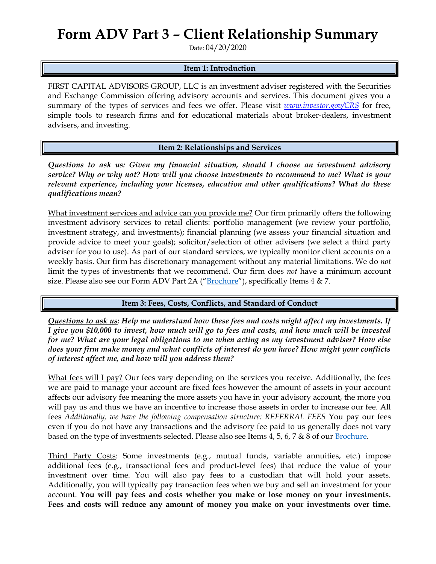# **Form ADV Part 3 – Client Relationship Summary**

Date: 04/20/2020

#### **Item 1: Introduction**

FIRST CAPITAL ADVISORS GROUP, LLC is an investment adviser registered with the Securities and Exchange Commission offering advisory accounts and services. This document gives you a summary of the types of services and fees we offer. Please visit *[www.investor.gov/CRS](http://www.investor.gov/CRS)* for free, simple tools to research firms and for educational materials about broker-dealers, investment advisers, and investing.

**Item 2: Relationships and Services**

*Questions to ask us: Given my financial situation, should I choose an investment advisory service? Why or why not? How will you choose investments to recommend to me? What is your relevant experience, including your licenses, education and other qualifications? What do these qualifications mean?*

What investment services and advice can you provide me? Our firm primarily offers the following investment advisory services to retail clients: portfolio management (we review your portfolio, investment strategy, and investments); financial planning (we assess your financial situation and provide advice to meet your goals); solicitor/selection of other advisers (we select a third party adviser for you to use). As part of our standard services, we typically monitor client accounts on a weekly basis. Our firm has discretionary management without any material limitations. We do *not*  limit the types of investments that we recommend. Our firm does *not* have a minimum account size. Please also see our Form ADV Part 2A ("[Brochure](https://adviserinfo.sec.gov/firm/summary/281322)"), specifically Items 4 & 7.

#### **Item 3: Fees, Costs, Conflicts, and Standard of Conduct**

*Questions to ask us: Help me understand how these fees and costs might affect my investments. If I give you \$10,000 to invest, how much will go to fees and costs, and how much will be invested for me? What are your legal obligations to me when acting as my investment adviser? How else does your firm make money and what conflicts of interest do you have? How might your conflicts of interest affect me, and how will you address them?* 

What fees will I pay? Our fees vary depending on the services you receive. Additionally, the fees we are paid to manage your account are fixed fees however the amount of assets in your account affects our advisory fee meaning the more assets you have in your advisory account, the more you will pay us and thus we have an incentive to increase those assets in order to increase our fee. All fees *Additionally, we have the following compensation structure: REFERRAL FEES* You pay our fees even if you do not have any transactions and the advisory fee paid to us generally does not vary based on the type of investments selected. Please also see Items 4, 5, 6, 7 & 8 of our [Brochure.](https://adviserinfo.sec.gov/firm/summary/281322)

Third Party Costs: Some investments (e.g., mutual funds, variable annuities, etc.) impose additional fees (e.g., transactional fees and product-level fees) that reduce the value of your investment over time. You will also pay fees to a custodian that will hold your assets. Additionally, you will typically pay transaction fees when we buy and sell an investment for your account. **You will pay fees and costs whether you make or lose money on your investments. Fees and costs will reduce any amount of money you make on your investments over time.**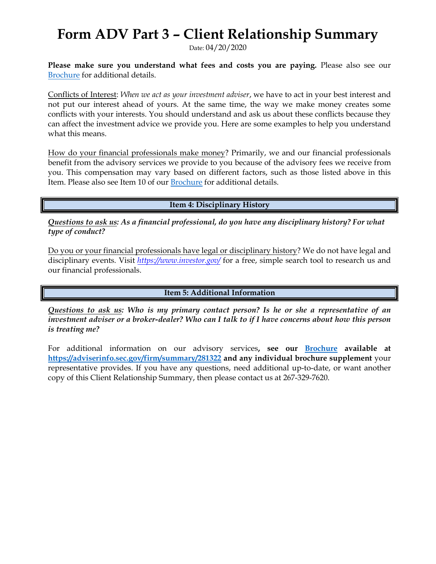# **Form ADV Part 3 – Client Relationship Summary**

Date: 04/20/2020

**Please make sure you understand what fees and costs you are paying.** Please also see our [Brochure](https://adviserinfo.sec.gov/firm/summary/281322) for additional details.

Conflicts of Interest: *When we act as your investment adviser*, we have to act in your best interest and not put our interest ahead of yours. At the same time, the way we make money creates some conflicts with your interests. You should understand and ask us about these conflicts because they can affect the investment advice we provide you. Here are some examples to help you understand what this means.

How do your financial professionals make money? Primarily, we and our financial professionals benefit from the advisory services we provide to you because of the advisory fees we receive from you. This compensation may vary based on different factors, such as those listed above in this Item. Please also see Item 10 of our [Brochure](https://adviserinfo.sec.gov/firm/summary/281322) for additional details.

**Item 4: Disciplinary History**

*Questions to ask us: As a financial professional, do you have any disciplinary history? For what type of conduct?*

Do you or your financial professionals have legal or disciplinary history? We do not have legal and disciplinary events. Visit *<https://www.investor.gov/>* for a free, simple search tool to research us and our financial professionals.

**Item 5: Additional Information**

*Questions to ask us: Who is my primary contact person? Is he or she a representative of an investment adviser or a broker-dealer? Who can I talk to if I have concerns about how this person is treating me?*

For additional information on our advisory services**, see our [Brochure](https://adviserinfo.sec.gov/firm/summary/281322) available at <https://adviserinfo.sec.gov/firm/summary/281322> and any individual brochure supplement** your representative provides. If you have any questions, need additional up-to-date, or want another copy of this Client Relationship Summary, then please contact us at 267-329-7620.